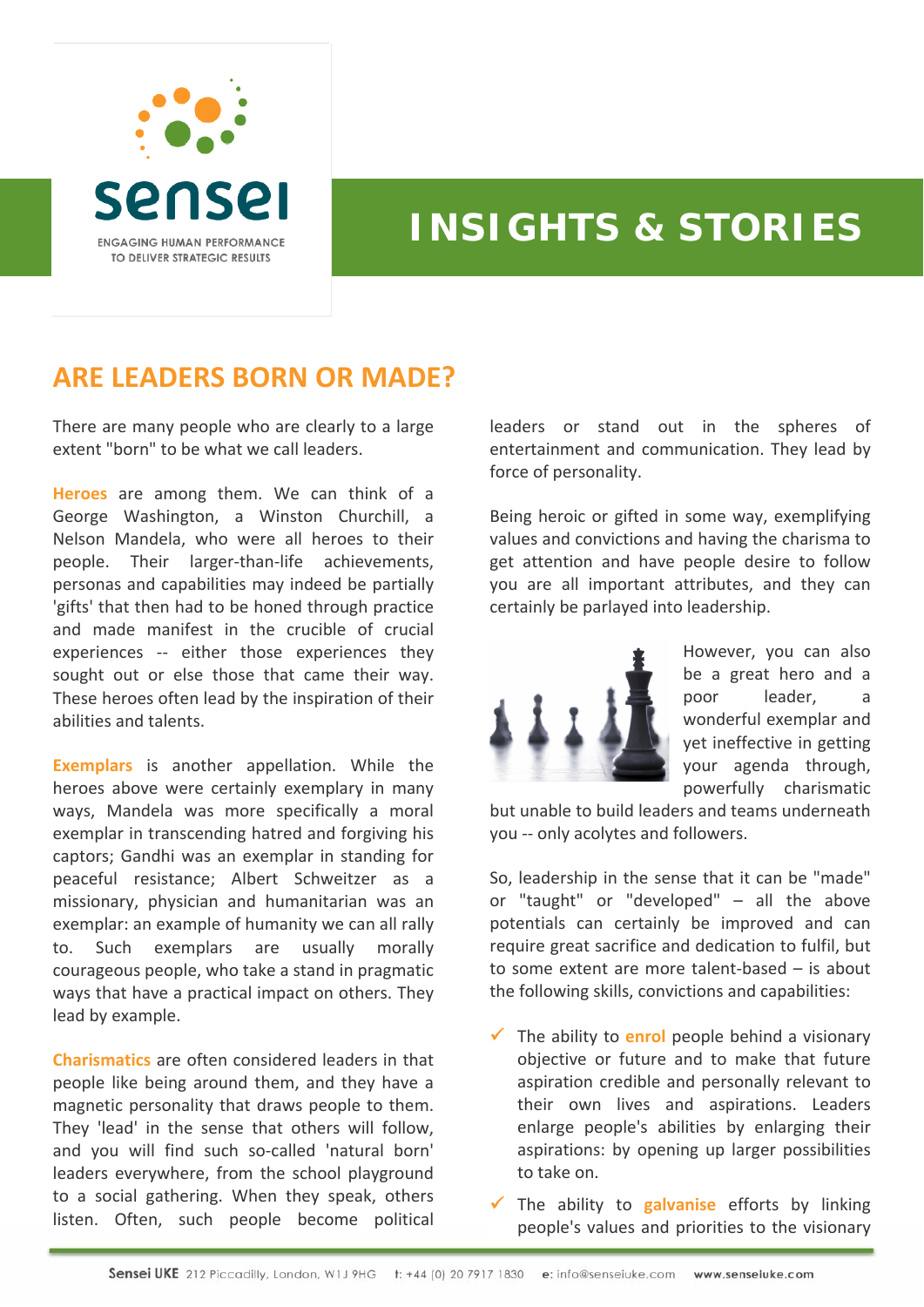

## **INSIGHTS & STORIES**

## **ARE LEADERS BORN OR MADE?**

There are many people who are clearly to a large extent "born" to be what we call leaders.

**Heroes** are among them. We can think of a George Washington, a Winston Churchill, a Nelson Mandela, who were all heroes to their people. Their larger‐than‐life achievements, personas and capabilities may indeed be partially 'gifts' that then had to be honed through practice and made manifest in the crucible of crucial experiences -- either those experiences they sought out or else those that came their way. These heroes often lead by the inspiration of their abilities and talents.

**Exemplars** is another appellation. While the heroes above were certainly exemplary in many ways, Mandela was more specifically a moral exemplar in transcending hatred and forgiving his captors; Gandhi was an exemplar in standing for peaceful resistance; Albert Schweitzer as a missionary, physician and humanitarian was an exemplar: an example of humanity we can all rally to. Such exemplars are usually morally courageous people, who take a stand in pragmatic ways that have a practical impact on others. They lead by example.

**Charismatics** are often considered leaders in that people like being around them, and they have a magnetic personality that draws people to them. They 'lead' in the sense that others will follow, and you will find such so‐called 'natural born' leaders everywhere, from the school playground to a social gathering. When they speak, others listen. Often, such people become political

leaders or stand out in the spheres of entertainment and communication. They lead by force of personality.

Being heroic or gifted in some way, exemplifying values and convictions and having the charisma to get attention and have people desire to follow you are all important attributes, and they can certainly be parlayed into leadership.



However, you can also be a great hero and a poor leader, a wonderful exemplar and yet ineffective in getting your agenda through, powerfully charismatic

but unable to build leaders and teams underneath you -- only acolytes and followers.

So, leadership in the sense that it can be "made" or "taught" or "developed" – all the above potentials can certainly be improved and can require great sacrifice and dedication to fulfil, but to some extent are more talent‐based – is about the following skills, convictions and capabilities:

 $\checkmark$  The ability to **enrol** people behind a visionary objective or future and to make that future aspiration credible and personally relevant to their own lives and aspirations. Leaders enlarge people's abilities by enlarging their aspirations: by opening up larger possibilities to take on.

9 The ability to **galvanise** efforts by linking people's values and priorities to the visionary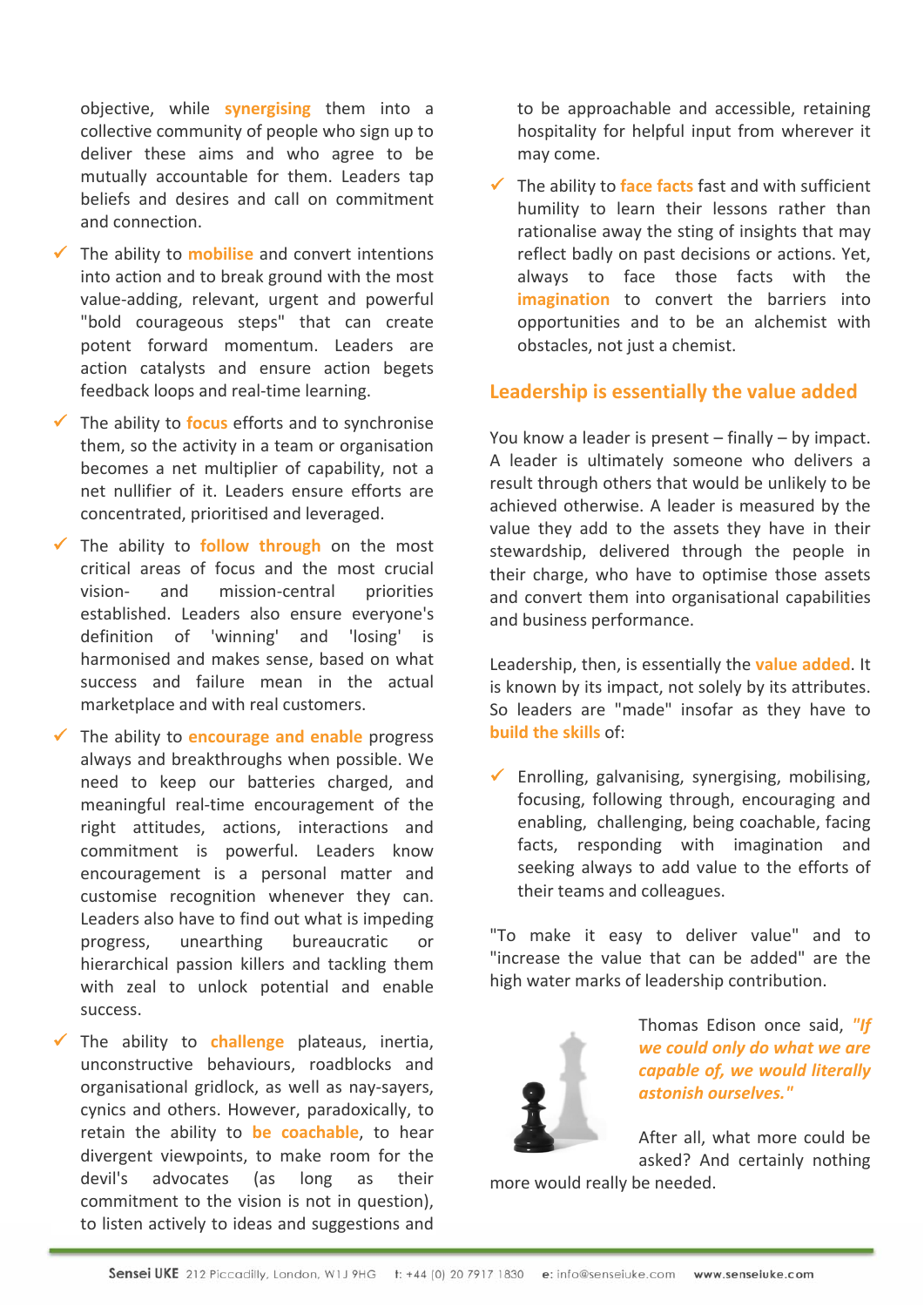objective, while **synergising** them into a collective community of people who sign up to deliver these aims and who agree to be mutually accountable for them. Leaders tap beliefs and desires and call on commitment and connection.

- $\checkmark$  The ability to **mobilise** and convert intentions into action and to break ground with the most value‐adding, relevant, urgent and powerful "bold courageous steps" that can create potent forward momentum. Leaders are action catalysts and ensure action begets feedback loops and real-time learning.
- $\checkmark$  The ability to **focus** efforts and to synchronise them, so the activity in a team or organisation becomes a net multiplier of capability, not a net nullifier of it. Leaders ensure efforts are concentrated, prioritised and leveraged.
- $\checkmark$  The ability to **follow through** on the most critical areas of focus and the most crucial vision- and mission-central priorities established. Leaders also ensure everyone's definition of 'winning' and 'losing' is harmonised and makes sense, based on what success and failure mean in the actual marketplace and with real customers.
- 9 The ability to **encourage and enable** progress always and breakthroughs when possible. We need to keep our batteries charged, and meaningful real‐time encouragement of the right attitudes, actions, interactions and commitment is powerful. Leaders know encouragement is a personal matter and customise recognition whenever they can. Leaders also have to find out what is impeding progress, unearthing bureaucratic or hierarchical passion killers and tackling them with zeal to unlock potential and enable success.
- $\checkmark$  The ability to **challenge** plateaus, inertia, unconstructive behaviours, roadblocks and organisational gridlock, as well as nay‐sayers, cynics and others. However, paradoxically, to retain the ability to **be coachable**, to hear divergent viewpoints, to make room for the devil's advocates (as long as their commitment to the vision is not in question), to listen actively to ideas and suggestions and

to be approachable and accessible, retaining hospitality for helpful input from wherever it may come.

 $\checkmark$  The ability to **face facts** fast and with sufficient humility to learn their lessons rather than rationalise away the sting of insights that may reflect badly on past decisions or actions. Yet, always to face those facts with the **imagination** to convert the barriers into opportunities and to be an alchemist with obstacles, not just a chemist.

## **Leadership is essentially the value added**

You know a leader is present – finally – by impact. A leader is ultimately someone who delivers a result through others that would be unlikely to be achieved otherwise. A leader is measured by the value they add to the assets they have in their stewardship, delivered through the people in their charge, who have to optimise those assets and convert them into organisational capabilities and business performance.

Leadership, then, is essentially the **value added**. It is known by its impact, not solely by its attributes. So leaders are "made" insofar as they have to **build the skills** of:

 $\checkmark$  Enrolling, galvanising, synergising, mobilising, focusing, following through, encouraging and enabling, challenging, being coachable, facing facts, responding with imagination and seeking always to add value to the efforts of their teams and colleagues.

"To make it easy to deliver value" and to "increase the value that can be added" are the high water marks of leadership contribution.



Thomas Edison once said, *"If we could only do what we are capable of, we would literally astonish ourselves."*

After all, what more could be asked? And certainly nothing

more would really be needed.